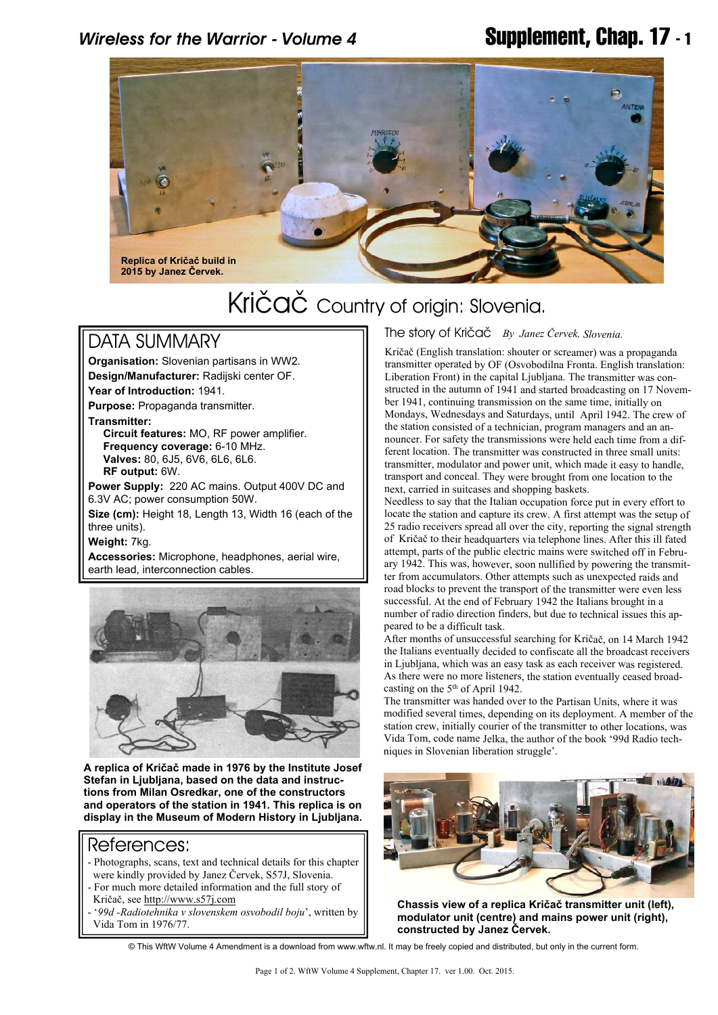## *Wireless for the Warrior - Volume 4* **Supplement, Chap. 17 - 1**



# Kričač Country of origin: Slovenia.

### DATA SUMMARY

**Organisation:** Slovenian partisans in WW2. **Design/Manufacturer:** Radijski center OF.

**Year of Introduction:** 1941.

**Purpose:** Propaganda transmitter.

**Transmitter:**

**Circuit features:** MO, RF power amplifier. **Frequency coverage:** 6-10 MHz. **Valves:** 80, 6J5, 6V6, 6L6, 6L6. **RF output:** 6W.

**Power Supply:** 220 AC mains. Output 400V DC and 6.3V AC; power consumption 50W. **Size (cm):** Height 18, Length 13, Width 16 (each of the

three units).

**Weight:** 7kg.

**Accessories:** Microphone, headphones, aerial wire, earth lead, interconnection cables.



**A replica of Kričač made in 1976 by the Institute Josef Stefan in Ljubljana, based on the data and instructions from Milan Osredkar, one of the constructors and operators of the station in 1941. This replica is on display in the Museum of Modern History in Ljubljana.**

### References:

- Photographs, scans, text and technical details for this chapter were kindly provided by Janez Červek, S57J, Slovenia. - For much more detailed information and the full story of
- Kričač, see <http://www.s57j.com>
- '*99d -Radiotehnika v slovenskem osvobodil boju*', written by Vida Tom in 1976/77.

The story of Kričač *By Janez Červek, Slovenia.*

Kričač (English translation: shouter or screamer) was a propaganda transmitter operated by OF (Osvobodilna Fronta. English translation: Liberation Front) in the capital Ljubljana. The transmitter was constructed in the autumn of 1941 and started broadcasting on 17 November 1941, continuing transmission on the same time, initially on Mondays, Wednesdays and Saturdays, until April 1942. The crew of the station consisted of a technician, program managers and an announcer. For safety the transmissions were held each time from a different location. The transmitter was constructed in three small units: transmitter, modulator and power unit, which made it easy to handle, transport and conceal. They were brought from one location to the next, carried in suitcases and shopping baskets.

Needless to say that the Italian occupation force put in every effort to locate the station and capture its crew. A first attempt was the setup of 25 radio receivers spread all over the city, reporting the signal strength of Kričač to their headquarters via telephone lines. After this ill fated attempt, parts of the public electric mains were switched off in February 1942. This was, however, soon nullified by powering the transmitter from accumulators. Other attempts such as unexpected raids and road blocks to prevent the transport of the transmitter were even less successful. At the end of February 1942 the Italians brought in a number of radio direction finders, but due to technical issues this appeared to be a difficult task.

After months of unsuccessful searching for Kričač, on 14 March 1942 the Italians eventually decided to confiscate all the broadcast receivers in Ljubljana, which was an easy task as each receiver was registered. As there were no more listeners, the station eventually ceased broadcasting on the 5<sup>th</sup> of April 1942.

The transmitter was handed over to the Partisan Units, where it was modified several times, depending on its deployment. A member of the station crew, initially courier of the transmitter to other locations, was Vida Tom, code name Jelka, the author of the book '99d Radio techniques in Slovenian liberation struggle'.



**Chassis view of a replica Kričač transmitter unit (left), modulator unit (centre) and mains power unit (right), constructed by Janez Červek.**

© This WftW Volume 4 Amendment is a download from www.wftw.nl. It may be freely copied and distributed, but only in the current form.